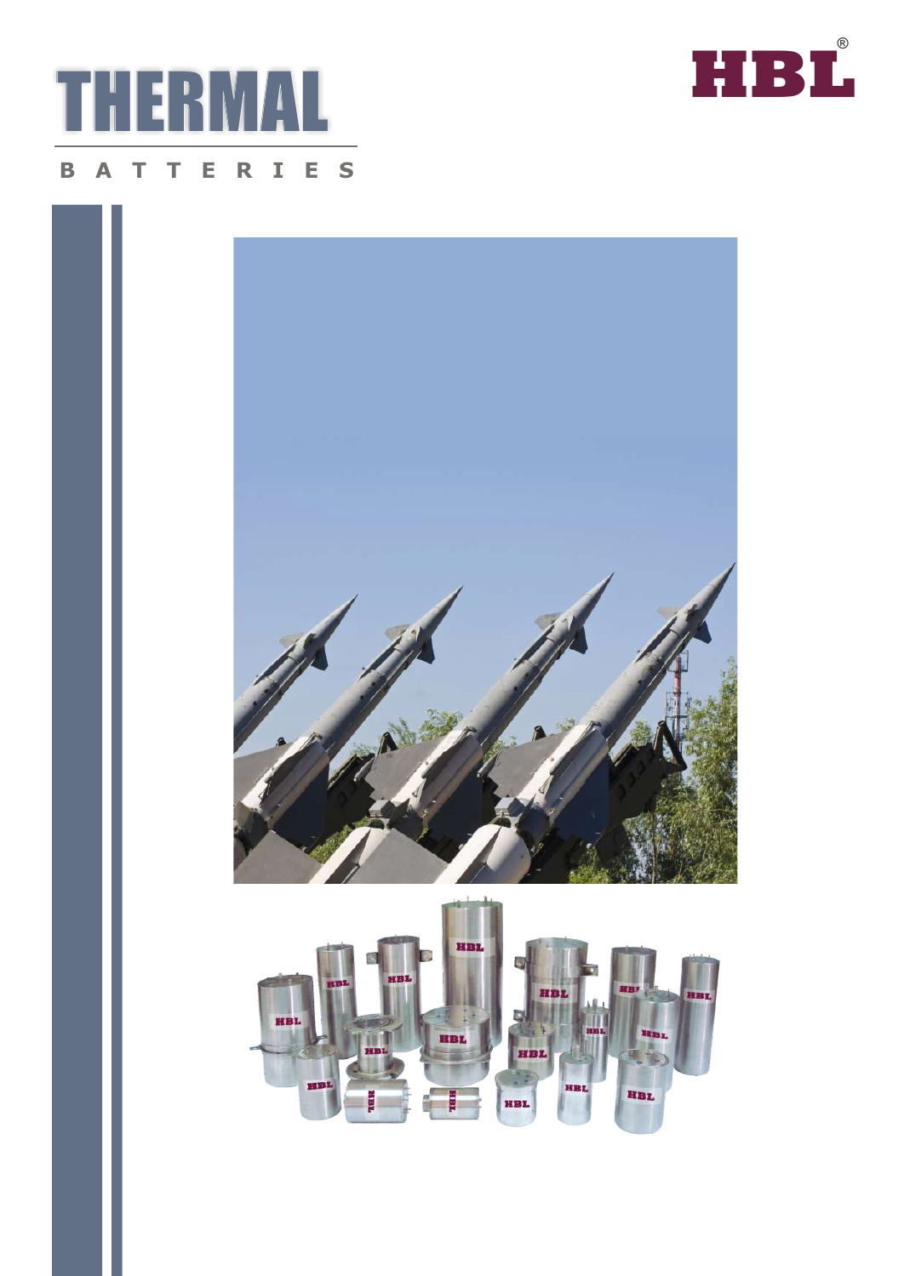





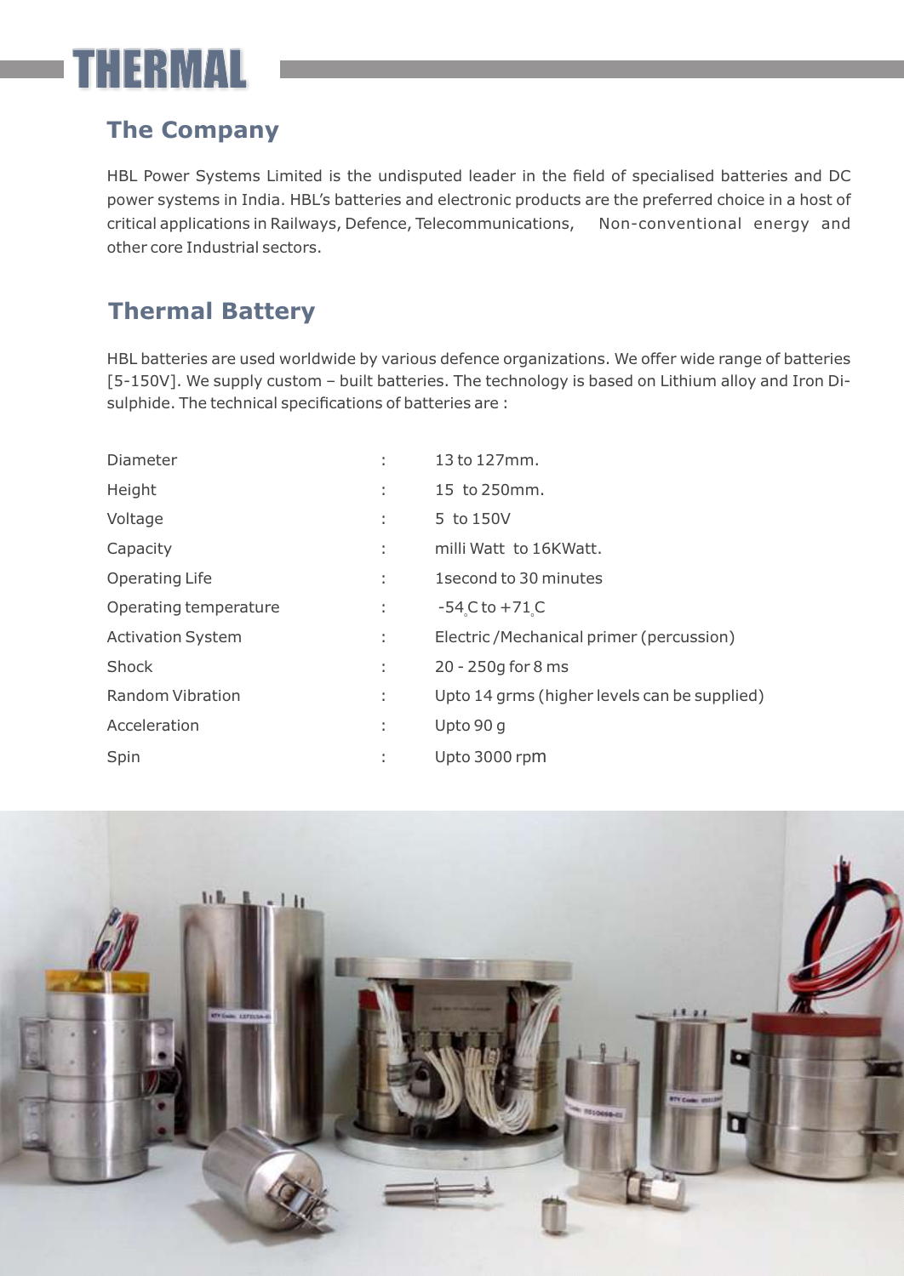## THERMAL

## **The Company**

HBL Power Systems Limited is the undisputed leader in the field of specialised batteries and DC power systems in India. HBL's batteries and electronic products are the preferred choice in a host of critical applications in Railways, Defence, Telecommunications, Non-conventional energy and other core Industrial sectors.

## **Thermal Battery**

HBL batteries are used worldwide by various defence organizations. We offer wide range of batteries [5-150V]. We supply custom – built batteries. The technology is based on Lithium alloy and Iron Disulphide. The technical specifications of batteries are :

| Diameter                 |    | 13 to 127mm.                                 |
|--------------------------|----|----------------------------------------------|
| Height                   | ÷  | 15 to 250mm.                                 |
| Voltage                  | ٠  | 5 to 150V                                    |
| Capacity                 | ÷  | milli Watt to 16KWatt.                       |
| <b>Operating Life</b>    | ÷  | 1 second to 30 minutes                       |
| Operating temperature    | ÷. | $-54$ C to $+71$ C                           |
| <b>Activation System</b> | ÷. | Electric/Mechanical primer (percussion)      |
| Shock                    | ÷. | 20 - 250g for 8 ms                           |
| <b>Random Vibration</b>  | t, | Upto 14 grms (higher levels can be supplied) |
| Acceleration             | t  | Upto 90 g                                    |
| Spin                     |    | Upto 3000 rpm                                |

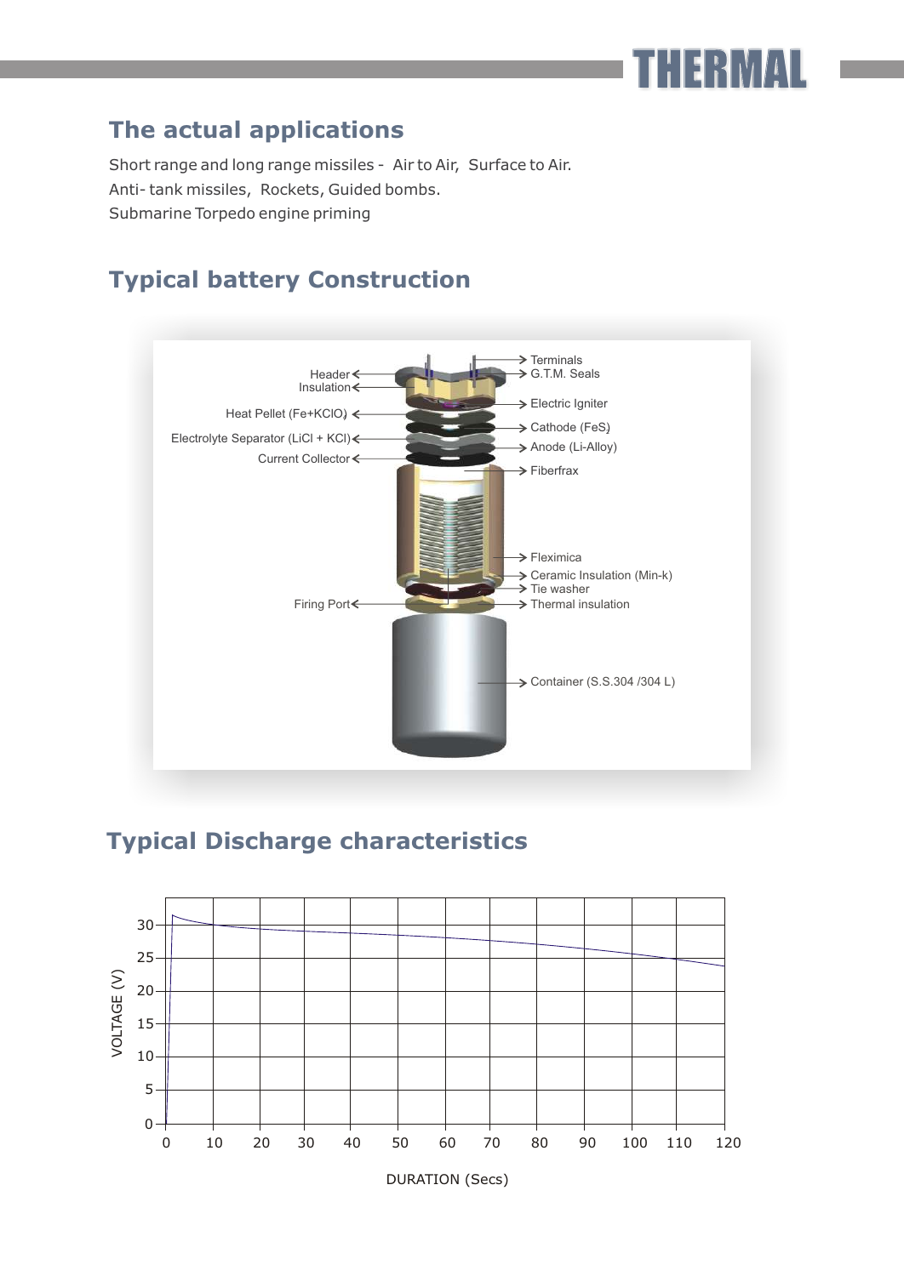### **The actual applications**

Short range and long range missiles - Air to Air, Surface to Air. Anti- tank missiles, Rockets, Guided bombs. Submarine Torpedo engine priming

#### **Typical battery Construction**



THERMAL

#### **Typical Discharge characteristics**



DURATION (Secs)